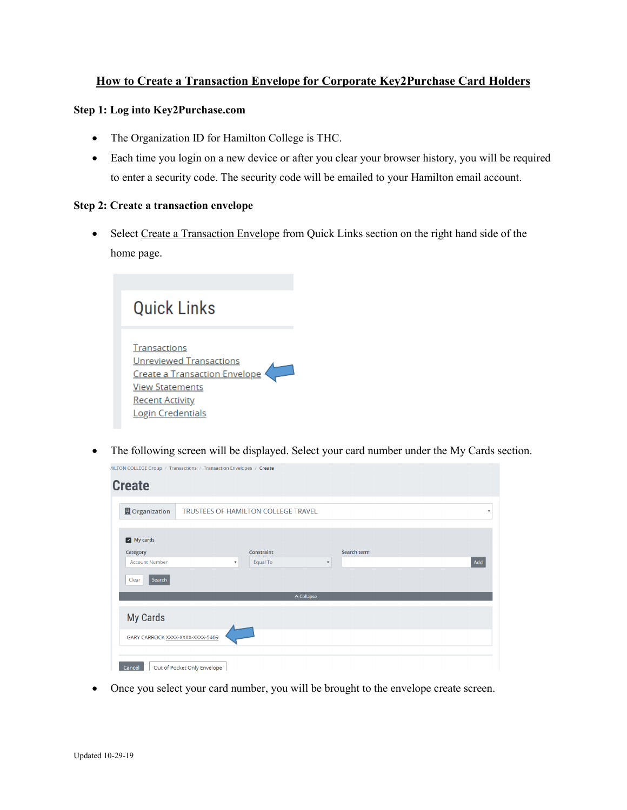# **How to Create a Transaction Envelope for Corporate Key2Purchase Card Holders**

#### **Step 1: Log into Key2Purchase.com**

- The Organization ID for Hamilton College is THC.
- Each time you login on a new device or after you clear your browser history, you will be required to enter a security code. The security code will be emailed to your Hamilton email account.

## **Step 2: Create a transaction envelope**

• Select Create a Transaction Envelope from Quick Links section on the right hand side of the home page.



• The following screen will be displayed. Select your card number under the My Cards section.

|                                  | AILTON COLLEGE Group / Transactions / Transaction Envelopes / Create |                                     |                           |             |                           |
|----------------------------------|----------------------------------------------------------------------|-------------------------------------|---------------------------|-------------|---------------------------|
| <b>Create</b>                    |                                                                      |                                     |                           |             |                           |
|                                  |                                                                      |                                     |                           |             |                           |
| <b>H</b> Organization            |                                                                      | TRUSTEES OF HAMILTON COLLEGE TRAVEL |                           |             | $\boldsymbol{\mathrm{v}}$ |
|                                  |                                                                      |                                     |                           |             |                           |
| My cards                         |                                                                      |                                     |                           |             |                           |
| Category                         |                                                                      | Constraint                          |                           | Search term |                           |
| <b>Account Number</b>            | $\boldsymbol{\mathrm{v}}$                                            | Equal To                            | $\boldsymbol{\mathrm{v}}$ |             | Add                       |
| Search<br>Clear                  |                                                                      |                                     |                           |             |                           |
|                                  |                                                                      |                                     | $\wedge$ Collapse         |             |                           |
| My Cards                         |                                                                      |                                     |                           |             |                           |
| GARY CARROCK XXXX-XXXX-XXXX-5469 |                                                                      |                                     |                           |             |                           |
| Cancel                           | Out of Pocket Only Envelope                                          |                                     |                           |             |                           |

• Once you select your card number, you will be brought to the envelope create screen.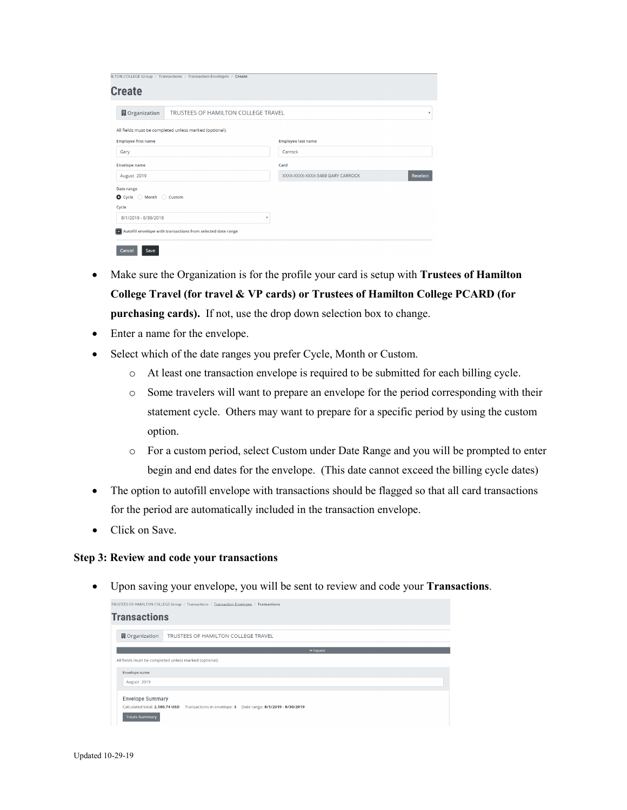|                            | IILTON COLLEGE Group / Transactions / Transaction Envelopes / Create |                                  |          |
|----------------------------|----------------------------------------------------------------------|----------------------------------|----------|
| <b>Create</b>              |                                                                      |                                  |          |
|                            |                                                                      |                                  |          |
| <b>图</b> Organization      | TRUSTEES OF HAMILTON COLLEGE TRAVEL                                  |                                  | ۰        |
|                            | All fields must be completed unless marked (optional).               |                                  |          |
| <b>Employee first name</b> |                                                                      | <b>Employee last name</b>        |          |
| Gary                       |                                                                      | Carrock                          |          |
| <b>Envelope name</b>       |                                                                      | Card                             |          |
| August 2019                |                                                                      | XXXX-XXXX-XXXX-5469 GARY CARROCK | Reselect |
| Date range                 |                                                                      |                                  |          |
| ● Cycle ● Month ● Custom   |                                                                      |                                  |          |
| Cycle                      |                                                                      |                                  |          |
| 8/1/2019 - 8/30/2019       | $\boldsymbol{\mathrm{v}}$                                            |                                  |          |
|                            | [v] Autofill envelope with transactions from selected date range     |                                  |          |
|                            |                                                                      |                                  |          |
| Save<br>Cancel             |                                                                      |                                  |          |

- Make sure the Organization is for the profile your card is setup with **Trustees of Hamilton College Travel (for travel & VP cards) or Trustees of Hamilton College PCARD (for purchasing cards).** If not, use the drop down selection box to change.
- Enter a name for the envelope.
- Select which of the date ranges you prefer Cycle, Month or Custom.
	- o At least one transaction envelope is required to be submitted for each billing cycle.
	- o Some travelers will want to prepare an envelope for the period corresponding with their statement cycle. Others may want to prepare for a specific period by using the custom option.
	- o For a custom period, select Custom under Date Range and you will be prompted to enter begin and end dates for the envelope. (This date cannot exceed the billing cycle dates)
- The option to autofill envelope with transactions should be flagged so that all card transactions for the period are automatically included in the transaction envelope.
- Click on Save.

#### **Step 3: Review and code your transactions**

• Upon saving your envelope, you will be sent to review and code your **Transactions**.

| TRUSTEES OF HAMILTON COLLEGE Group / Transactions / Transaction Envelopes / Transactions         |
|--------------------------------------------------------------------------------------------------|
| <b>Transactions</b>                                                                              |
|                                                                                                  |
| <b>H</b> Organization<br>TRUSTEES OF HAMILTON COLLEGE TRAVEL                                     |
| $\times$ Expand                                                                                  |
| All fields must be completed unless marked (optional).                                           |
|                                                                                                  |
| <b>Envelope name</b>                                                                             |
| August 2019                                                                                      |
|                                                                                                  |
| <b>Envelope Summary</b>                                                                          |
| Calculated total: 2,180.74 USD<br>Transactions in envelope: 3   Date range: 8/1/2019 - 8/30/2019 |
| <b>Totals Summary</b>                                                                            |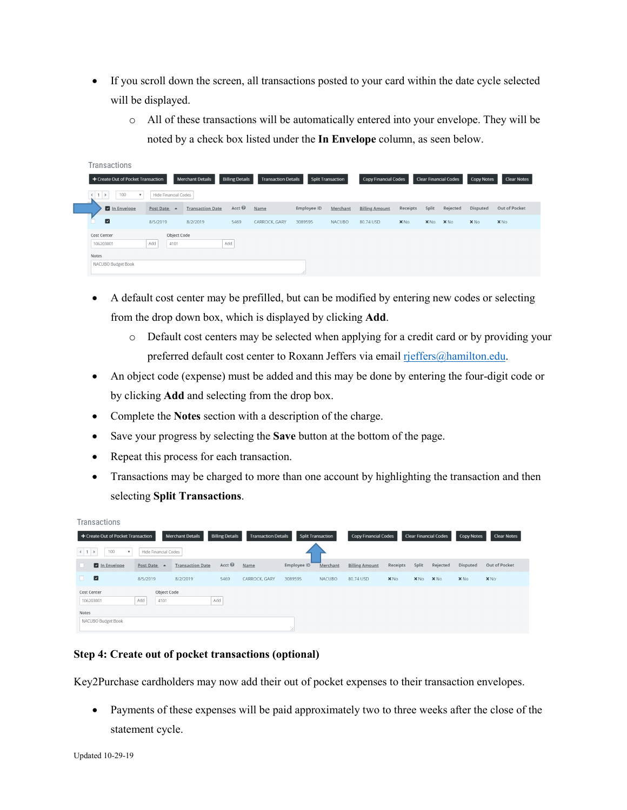- If you scroll down the screen, all transactions posted to your card within the date cycle selected will be displayed.
	- o All of these transactions will be automatically entered into your envelope. They will be noted by a check box listed under the **In Envelope** column, as seen below.

| Transactions                         |                             |                         |                              |                            |             |                          |                             |                   |        |                              |                   |                    |
|--------------------------------------|-----------------------------|-------------------------|------------------------------|----------------------------|-------------|--------------------------|-----------------------------|-------------------|--------|------------------------------|-------------------|--------------------|
| + Create Out of Pocket Transaction   |                             | <b>Merchant Details</b> | <b>Billing Details</b>       | <b>Transaction Details</b> |             | <b>Split Transaction</b> | <b>Copy Financial Codes</b> |                   |        | <b>Clear Financial Codes</b> | <b>Copy Notes</b> | <b>Clear Notes</b> |
| 100<br>$\langle$ 1 ><br>$\mathbf{v}$ | <b>Hide Financial Codes</b> |                         |                              |                            |             |                          |                             |                   |        |                              |                   |                    |
| In Envelope                          | Post Date A                 | <b>Transaction Date</b> | Acct <sup><sup>O</sup></sup> | Name                       | Employee ID | Merchant                 | <b>Billing Amount</b>       | Receipts          | Split  | Rejected                     | Disputed          | Out of Pocket      |
| $\blacksquare$                       | 8/5/2019                    | 8/2/2019                | 5469                         | CARROCK, GARY              | 3089595     | <b>NACUBO</b>            | 80.74 USD                   | $X$ <sub>No</sub> | $X$ No | XN <sub>0</sub>              | XN <sub>0</sub>   | $X$ No             |
| Cost Center                          | <b>Object Code</b>          |                         |                              |                            |             |                          |                             |                   |        |                              |                   |                    |
| 106203001                            | Add<br>4101                 |                         | Add                          |                            |             |                          |                             |                   |        |                              |                   |                    |
| Notes                                |                             |                         |                              |                            |             |                          |                             |                   |        |                              |                   |                    |
| NACUBO Budget Book                   |                             |                         |                              |                            |             |                          |                             |                   |        |                              |                   |                    |

- A default cost center may be prefilled, but can be modified by entering new codes or selecting from the drop down box, which is displayed by clicking **Add**.
	- o Default cost centers may be selected when applying for a credit card or by providing your preferred default cost center to Roxann Jeffers via email [rjeffers@hamilton.edu.](mailto:rjeffers@hamilton.edu)
- An object code (expense) must be added and this may be done by entering the four-digit code or by clicking **Add** and selecting from the drop box.
- Complete the **Notes** section with a description of the charge.
- Save your progress by selecting the **Save** button at the bottom of the page.
- Repeat this process for each transaction.
- Transactions may be charged to more than one account by highlighting the transaction and then selecting **Split Transactions**.

| Transactions                            |                             |                         |                              |                            |             |                          |                             |                   |                   |                              |                   |                    |
|-----------------------------------------|-----------------------------|-------------------------|------------------------------|----------------------------|-------------|--------------------------|-----------------------------|-------------------|-------------------|------------------------------|-------------------|--------------------|
| + Create Out of Pocket Transaction      |                             | <b>Merchant Details</b> | <b>Billing Details</b>       | <b>Transaction Details</b> |             | <b>Split Transaction</b> | <b>Copy Financial Codes</b> |                   |                   | <b>Clear Financial Codes</b> | <b>Copy Notes</b> | <b>Clear Notes</b> |
| $\leftarrow$ 1 ><br>100<br>$\mathbf{v}$ | <b>Hide Financial Codes</b> |                         |                              |                            |             |                          |                             |                   |                   |                              |                   |                    |
| In Envelope                             | Post Date A                 | <b>Transaction Date</b> | Acct <sup><sup>®</sup></sup> | Name                       | Employee ID | Merchant                 | <b>Billing Amount</b>       | Receipts          | Split             | Rejected                     | Disputed          | Out of Pocket      |
| ⊡<br>n                                  | 8/5/2019                    | 8/2/2019                | 5469                         | CARROCK, GARY              | 3089595     | <b>NACUBO</b>            | 80.74 USD                   | $X$ <sub>No</sub> | $X$ <sub>No</sub> | XN <sub>0</sub>              | $X$ No            | $X$ <sub>No</sub>  |
| Cost Center<br>106203001                | Object Code<br>Add<br>4101  |                         | Add                          |                            |             |                          |                             |                   |                   |                              |                   |                    |
| Notes                                   |                             |                         |                              |                            |             |                          |                             |                   |                   |                              |                   |                    |
| NACUBO Budget Book                      |                             |                         |                              |                            |             |                          |                             |                   |                   |                              |                   |                    |

## **Step 4: Create out of pocket transactions (optional)**

Key2Purchase cardholders may now add their out of pocket expenses to their transaction envelopes.

• Payments of these expenses will be paid approximately two to three weeks after the close of the statement cycle.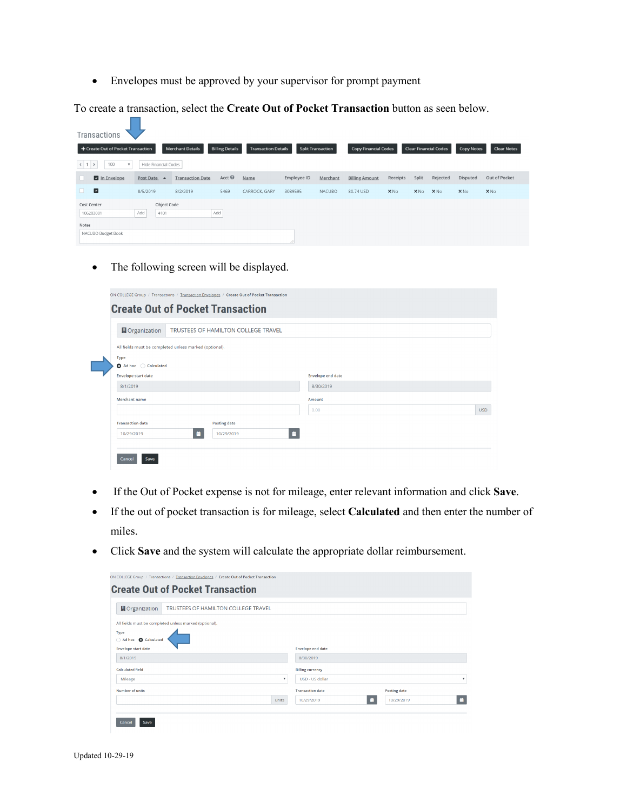• Envelopes must be approved by your supervisor for prompt payment

To create a transaction, select the **Create Out of Pocket Transaction** button as seen below.

| Transactions                               |                            |                         |                              |                            |             |                          |                             |          |        |                              |                   |                    |
|--------------------------------------------|----------------------------|-------------------------|------------------------------|----------------------------|-------------|--------------------------|-----------------------------|----------|--------|------------------------------|-------------------|--------------------|
| + Create Out of Pocket Transaction         |                            | <b>Merchant Details</b> | <b>Billing Details</b>       | <b>Transaction Details</b> |             | <b>Split Transaction</b> | <b>Copy Financial Codes</b> |          |        | <b>Clear Financial Codes</b> | <b>Copy Notes</b> | <b>Clear Notes</b> |
| $\langle 1 \rangle$<br>100<br>$\mathbf{v}$ | Hide Financial Codes       |                         |                              |                            |             |                          |                             |          |        |                              |                   |                    |
| In Envelope                                | Post Date 4                | <b>Transaction Date</b> | Acct <sup><sup>®</sup></sup> | Name                       | Employee ID | Merchant                 | <b>Billing Amount</b>       | Receipts | Split  | Rejected                     | Disputed          | Out of Pocket      |
| $\blacksquare$                             | 8/5/2019                   | 8/2/2019                | 5469                         | CARROCK, GARY              | 3089595     | <b>NACUBO</b>            | 80.74 USD                   | $X$ No   | $X$ No | XN <sub>0</sub>              | X N <sub>0</sub>  | $X$ No             |
| Cost Center<br>106203001                   | Object Code<br>Add<br>4101 |                         | Add                          |                            |             |                          |                             |          |        |                              |                   |                    |
| Notes                                      |                            |                         |                              |                            |             |                          |                             |          |        |                              |                   |                    |
| NACUBO Budget Book                         |                            |                         |                              |                            |             |                          |                             |          |        |                              |                   |                    |

• The following screen will be displayed.

| <b>圆</b> Organization                                  | TRUSTEES OF HAMILTON COLLEGE TRAVEL |                          |  |
|--------------------------------------------------------|-------------------------------------|--------------------------|--|
| All fields must be completed unless marked (optional). |                                     |                          |  |
| Type                                                   |                                     |                          |  |
| Ad hoc Calculated<br><b>Envelope start date</b>        |                                     | <b>Envelope end date</b> |  |
| 8/1/2019                                               |                                     | 8/30/2019                |  |
| Merchant name                                          |                                     | Amount                   |  |
|                                                        |                                     | 0.00                     |  |
| <b>Transaction date</b>                                | <b>Posting date</b>                 |                          |  |
| 10/29/2019                                             | 曲<br>10/29/2019                     | 曲                        |  |

- If the Out of Pocket expense is not for mileage, enter relevant information and click **Save**.
- If the out of pocket transaction is for mileage, select **Calculated** and then enter the number of miles.
- Click **Save** and the system will calculate the appropriate dollar reimbursement.

| <b>图</b> Organization<br>TRUSTEES OF HAMILTON COLLEGE TRAVEL |                           |                          |                     |  |
|--------------------------------------------------------------|---------------------------|--------------------------|---------------------|--|
| All fields must be completed unless marked (optional).       |                           |                          |                     |  |
| Type                                                         |                           |                          |                     |  |
| Ad hoc <b>O</b> Calculated                                   |                           |                          |                     |  |
| <b>Envelope start date</b>                                   |                           | <b>Envelope end date</b> |                     |  |
|                                                              |                           |                          |                     |  |
| 8/1/2019                                                     |                           | 8/30/2019                |                     |  |
| <b>Calculated field</b>                                      |                           | <b>Billing currency</b>  |                     |  |
| Mileage                                                      | $\boldsymbol{\mathrm{v}}$ | USD - US dollar          |                     |  |
| <b>Number of units</b>                                       |                           | <b>Transaction date</b>  | <b>Posting date</b> |  |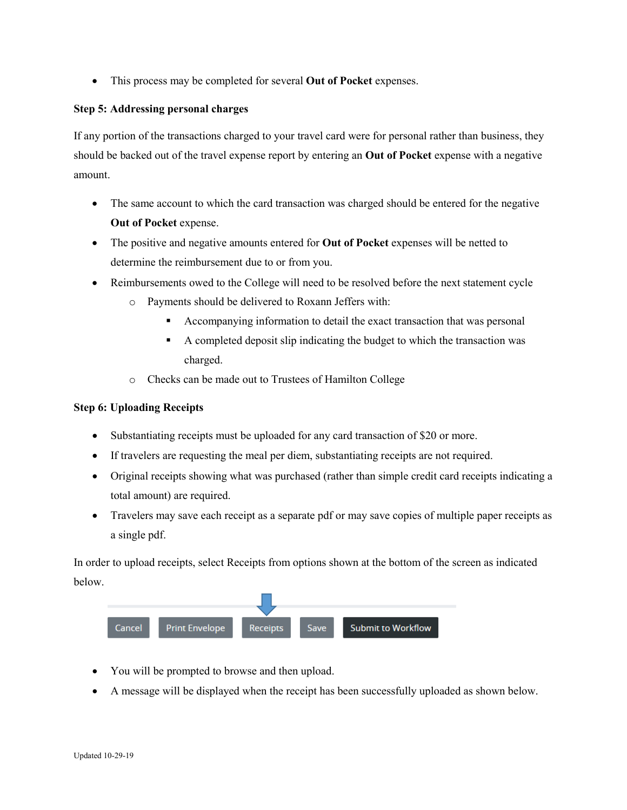• This process may be completed for several **Out of Pocket** expenses.

## **Step 5: Addressing personal charges**

If any portion of the transactions charged to your travel card were for personal rather than business, they should be backed out of the travel expense report by entering an **Out of Pocket** expense with a negative amount.

- The same account to which the card transaction was charged should be entered for the negative **Out of Pocket** expense.
- The positive and negative amounts entered for **Out of Pocket** expenses will be netted to determine the reimbursement due to or from you.
- Reimbursements owed to the College will need to be resolved before the next statement cycle
	- o Payments should be delivered to Roxann Jeffers with:
		- Accompanying information to detail the exact transaction that was personal
		- A completed deposit slip indicating the budget to which the transaction was charged.
	- o Checks can be made out to Trustees of Hamilton College

## **Step 6: Uploading Receipts**

- Substantiating receipts must be uploaded for any card transaction of \$20 or more.
- If travelers are requesting the meal per diem, substantiating receipts are not required.
- Original receipts showing what was purchased (rather than simple credit card receipts indicating a total amount) are required.
- Travelers may save each receipt as a separate pdf or may save copies of multiple paper receipts as a single pdf.

In order to upload receipts, select Receipts from options shown at the bottom of the screen as indicated below.



- You will be prompted to browse and then upload.
- A message will be displayed when the receipt has been successfully uploaded as shown below.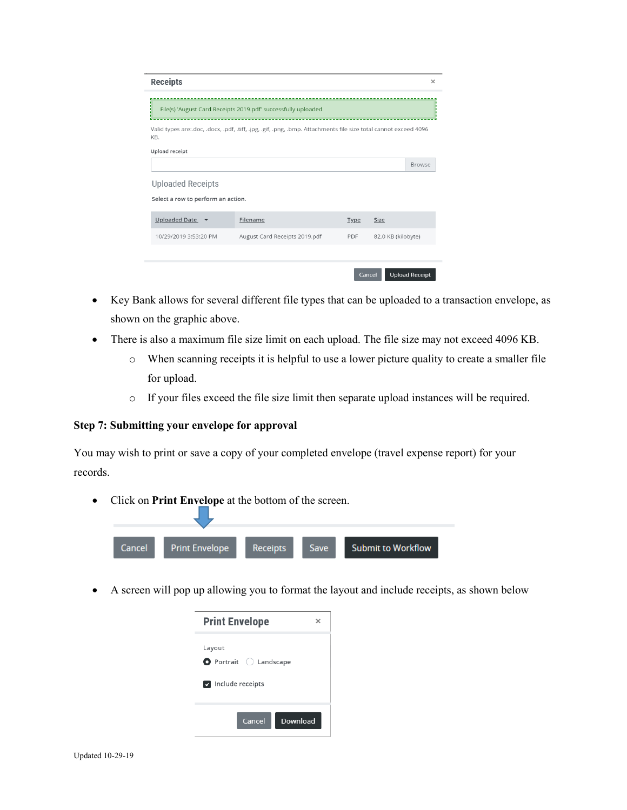| <b>Receipts</b>                                                |                                                                                                                  |        | $\times$              |
|----------------------------------------------------------------|------------------------------------------------------------------------------------------------------------------|--------|-----------------------|
|                                                                | File(s) 'August Card Receipts 2019.pdf' successfully uploaded.                                                   |        |                       |
| KB.                                                            | Valid types are: doc, .docx, .pdf, .tiff, .jpg, .gif, .png, .bmp. Attachments file size total cannot exceed 4096 |        |                       |
| Upload receipt                                                 |                                                                                                                  |        |                       |
|                                                                |                                                                                                                  |        | Browse                |
| <b>Uploaded Receipts</b><br>Select a row to perform an action. |                                                                                                                  |        |                       |
| Uploaded Date $\blacktriangleright$                            | Filename                                                                                                         | Type   | Size                  |
| 10/29/2019 3:53:20 PM                                          | August Card Receipts 2019.pdf                                                                                    | PDF    | 82.0 KB (kilobyte)    |
|                                                                |                                                                                                                  |        |                       |
|                                                                |                                                                                                                  | Cancel | <b>Upload Receipt</b> |

- Key Bank allows for several different file types that can be uploaded to a transaction envelope, as shown on the graphic above.
- There is also a maximum file size limit on each upload. The file size may not exceed 4096 KB.
	- o When scanning receipts it is helpful to use a lower picture quality to create a smaller file for upload.
	- o If your files exceed the file size limit then separate upload instances will be required.

## **Step 7: Submitting your envelope for approval**

You may wish to print or save a copy of your completed envelope (travel expense report) for your records.

• Click on **Print Envelope** at the bottom of the screen.



• A screen will pop up allowing you to format the layout and include receipts, as shown below